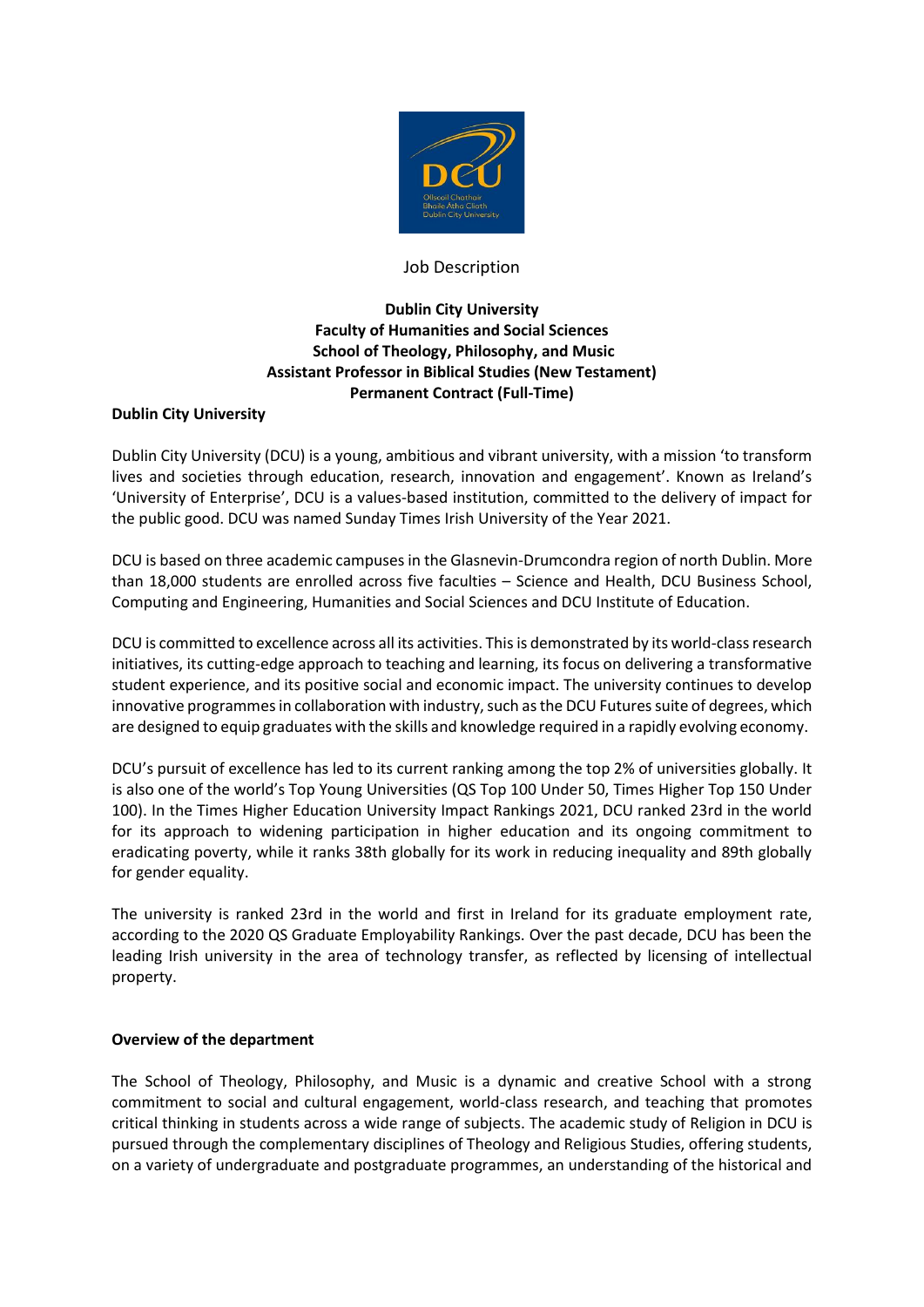

## Job Description

# **Dublin City University Faculty of Humanities and Social Sciences School of Theology, Philosophy, and Music Assistant Professor in Biblical Studies (New Testament) Permanent Contract (Full-Time)**

## **Dublin City University**

Dublin City University (DCU) is a young, ambitious and vibrant university, with a mission 'to transform lives and societies through education, research, innovation and engagement'. Known as Ireland's 'University of Enterprise', DCU is a values-based institution, committed to the delivery of impact for the public good. DCU was named Sunday Times Irish University of the Year 2021.

DCU is based on three academic campuses in the Glasnevin-Drumcondra region of north Dublin. More than 18,000 students are enrolled across five faculties – Science and Health, DCU Business School, Computing and Engineering, Humanities and Social Sciences and DCU Institute of Education.

DCU is committed to excellence across all its activities. This is demonstrated by its world-class research initiatives, its cutting-edge approach to teaching and learning, its focus on delivering a transformative student experience, and its positive social and economic impact. The university continues to develop innovative programmes in collaboration with industry, such as the DCU Futures suite of degrees, which are designed to equip graduates with the skills and knowledge required in a rapidly evolving economy.

DCU's pursuit of excellence has led to its current ranking among the top 2% of universities globally. It is also one of the world's Top Young Universities (QS Top 100 Under 50, Times Higher Top 150 Under 100). In the Times Higher Education University Impact Rankings 2021, DCU ranked 23rd in the world for its approach to widening participation in higher education and its ongoing commitment to eradicating poverty, while it ranks 38th globally for its work in reducing inequality and 89th globally for gender equality.

The university is ranked 23rd in the world and first in Ireland for its graduate employment rate, according to the 2020 QS Graduate Employability Rankings. Over the past decade, DCU has been the leading Irish university in the area of technology transfer, as reflected by licensing of intellectual property.

#### **Overview of the department**

The School of Theology, Philosophy, and Music is a dynamic and creative School with a strong commitment to social and cultural engagement, world-class research, and teaching that promotes critical thinking in students across a wide range of subjects. The academic study of Religion in DCU is pursued through the complementary disciplines of Theology and Religious Studies, offering students, on a variety of undergraduate and postgraduate programmes, an understanding of the historical and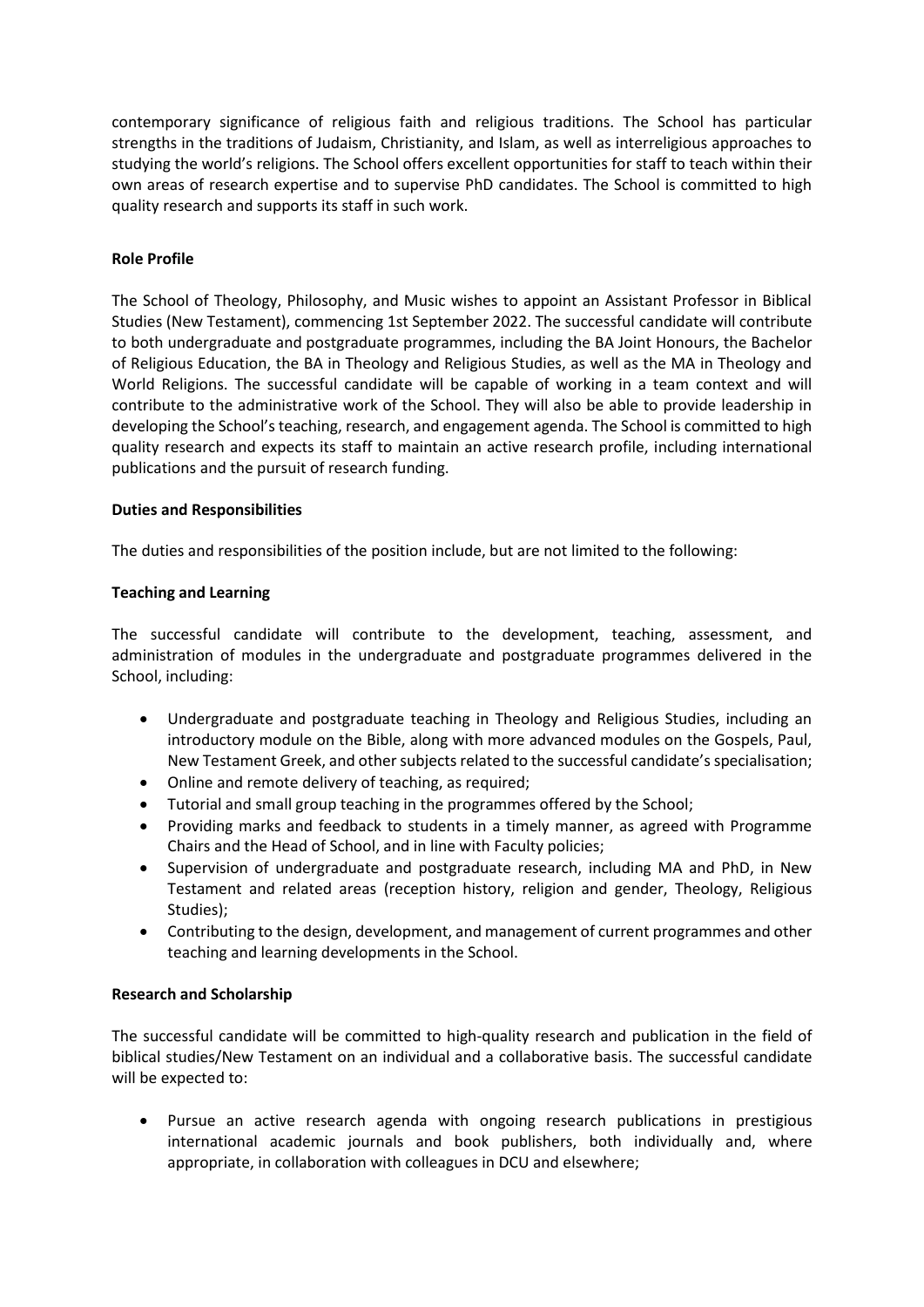contemporary significance of religious faith and religious traditions. The School has particular strengths in the traditions of Judaism, Christianity, and Islam, as well as interreligious approaches to studying the world's religions. The School offers excellent opportunities for staff to teach within their own areas of research expertise and to supervise PhD candidates. The School is committed to high quality research and supports its staff in such work.

## **Role Profile**

The School of Theology, Philosophy, and Music wishes to appoint an Assistant Professor in Biblical Studies (New Testament), commencing 1st September 2022. The successful candidate will contribute to both undergraduate and postgraduate programmes, including the BA Joint Honours, the Bachelor of Religious Education, the BA in Theology and Religious Studies, as well as the MA in Theology and World Religions. The successful candidate will be capable of working in a team context and will contribute to the administrative work of the School. They will also be able to provide leadership in developing the School's teaching, research, and engagement agenda. The School is committed to high quality research and expects its staff to maintain an active research profile, including international publications and the pursuit of research funding.

## **Duties and Responsibilities**

The duties and responsibilities of the position include, but are not limited to the following:

#### **Teaching and Learning**

The successful candidate will contribute to the development, teaching, assessment, and administration of modules in the undergraduate and postgraduate programmes delivered in the School, including:

- Undergraduate and postgraduate teaching in Theology and Religious Studies, including an introductory module on the Bible, along with more advanced modules on the Gospels, Paul, New Testament Greek, and other subjects related to the successful candidate's specialisation;
- Online and remote delivery of teaching, as required;
- Tutorial and small group teaching in the programmes offered by the School;
- Providing marks and feedback to students in a timely manner, as agreed with Programme Chairs and the Head of School, and in line with Faculty policies;
- Supervision of undergraduate and postgraduate research, including MA and PhD, in New Testament and related areas (reception history, religion and gender, Theology, Religious Studies);
- Contributing to the design, development, and management of current programmes and other teaching and learning developments in the School.

#### **Research and Scholarship**

The successful candidate will be committed to high-quality research and publication in the field of biblical studies/New Testament on an individual and a collaborative basis. The successful candidate will be expected to:

 Pursue an active research agenda with ongoing research publications in prestigious international academic journals and book publishers, both individually and, where appropriate, in collaboration with colleagues in DCU and elsewhere;